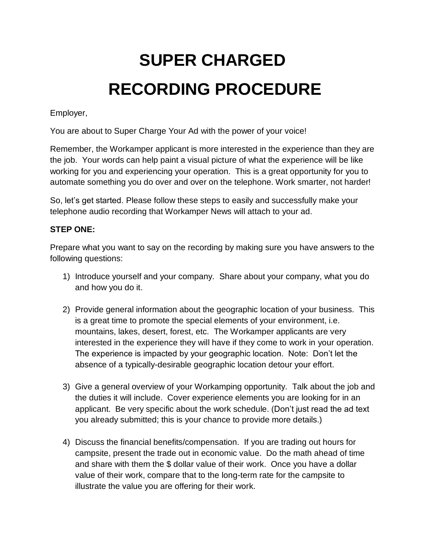# **SUPER CHARGED RECORDING PROCEDURE**

Employer,

You are about to Super Charge Your Ad with the power of your voice!

Remember, the Workamper applicant is more interested in the experience than they are the job. Your words can help paint a visual picture of what the experience will be like working for you and experiencing your operation. This is a great opportunity for you to automate something you do over and over on the telephone. Work smarter, not harder!

So, let's get started. Please follow these steps to easily and successfully make your telephone audio recording that Workamper News will attach to your ad.

# **STEP ONE:**

Prepare what you want to say on the recording by making sure you have answers to the following questions:

- 1) Introduce yourself and your company. Share about your company, what you do and how you do it.
- 2) Provide general information about the geographic location of your business. This is a great time to promote the special elements of your environment, i.e. mountains, lakes, desert, forest, etc. The Workamper applicants are very interested in the experience they will have if they come to work in your operation. The experience is impacted by your geographic location. Note: Don't let the absence of a typically-desirable geographic location detour your effort.
- 3) Give a general overview of your Workamping opportunity. Talk about the job and the duties it will include. Cover experience elements you are looking for in an applicant. Be very specific about the work schedule. (Don't just read the ad text you already submitted; this is your chance to provide more details.)
- 4) Discuss the financial benefits/compensation. If you are trading out hours for campsite, present the trade out in economic value. Do the math ahead of time and share with them the \$ dollar value of their work. Once you have a dollar value of their work, compare that to the long-term rate for the campsite to illustrate the value you are offering for their work.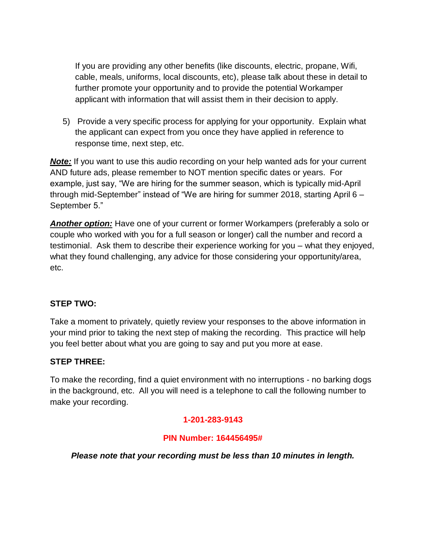If you are providing any other benefits (like discounts, electric, propane, Wifi, cable, meals, uniforms, local discounts, etc), please talk about these in detail to further promote your opportunity and to provide the potential Workamper applicant with information that will assist them in their decision to apply.

5) Provide a very specific process for applying for your opportunity. Explain what the applicant can expect from you once they have applied in reference to response time, next step, etc.

*Note:* If you want to use this audio recording on your help wanted ads for your current AND future ads, please remember to NOT mention specific dates or years. For example, just say, "We are hiring for the summer season, which is typically mid-April through mid-September" instead of "We are hiring for summer 2018, starting April 6 – September 5."

*Another option:* Have one of your current or former Workampers (preferably a solo or couple who worked with you for a full season or longer) call the number and record a testimonial. Ask them to describe their experience working for you – what they enjoyed, what they found challenging, any advice for those considering your opportunity/area, etc.

# **STEP TWO:**

Take a moment to privately, quietly review your responses to the above information in your mind prior to taking the next step of making the recording. This practice will help you feel better about what you are going to say and put you more at ease.

# **STEP THREE:**

To make the recording, find a quiet environment with no interruptions - no barking dogs in the background, etc. All you will need is a telephone to call the following number to make your recording.

# **1-201-283-9143**

### **PIN Number: 164456495#**

### *Please note that your recording must be less than 10 minutes in length.*